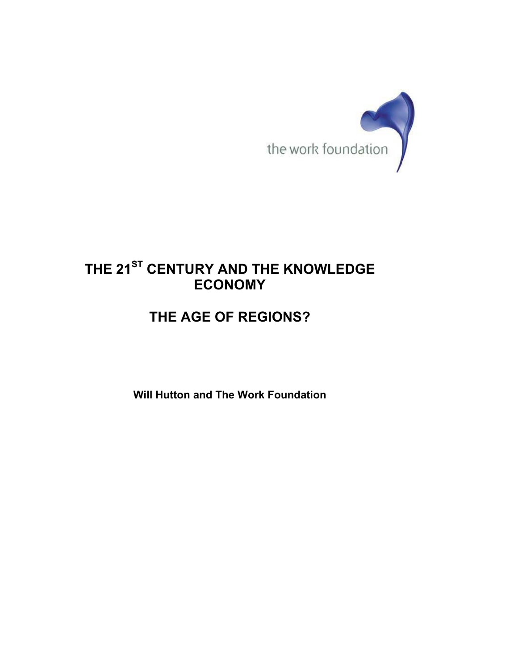

# **THE 21<sup>ST</sup> CENTURY AND THE KNOWLEDGE ECONOMY**

# **THE AGE OF REGIONS?**

**Will Hutton and The Work Foundation**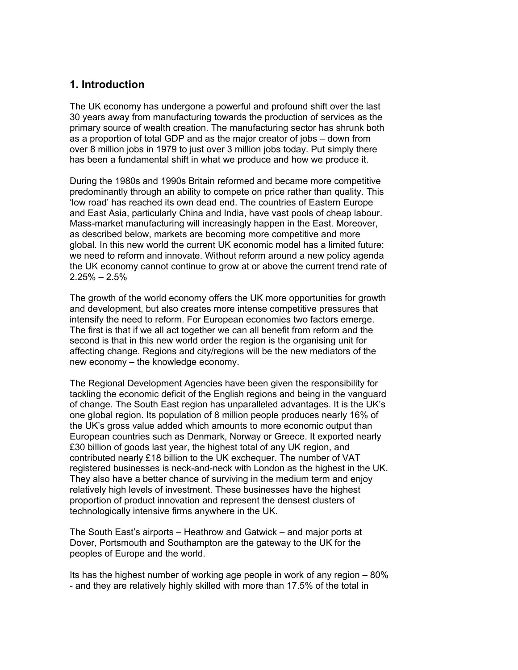# **1. Introduction**

The UK economy has undergone a powerful and profound shift over the last 30 years away from manufacturing towards the production of services as the primary source of wealth creation. The manufacturing sector has shrunk both as a proportion of total GDP and as the major creator of jobs – down from over 8 million jobs in 1979 to just over 3 million jobs today. Put simply there has been a fundamental shift in what we produce and how we produce it.

During the 1980s and 1990s Britain reformed and became more competitive predominantly through an ability to compete on price rather than quality. This 'low road' has reached its own dead end. The countries of Eastern Europe and East Asia, particularly China and India, have vast pools of cheap labour. Mass-market manufacturing will increasingly happen in the East. Moreover, as described below, markets are becoming more competitive and more global. In this new world the current UK economic model has a limited future: we need to reform and innovate. Without reform around a new policy agenda the UK economy cannot continue to grow at or above the current trend rate of  $2.25\% - 2.5\%$ 

The growth of the world economy offers the UK more opportunities for growth and development, but also creates more intense competitive pressures that intensify the need to reform. For European economies two factors emerge. The first is that if we all act together we can all benefit from reform and the second is that in this new world order the region is the organising unit for affecting change. Regions and city/regions will be the new mediators of the new economy – the knowledge economy.

The Regional Development Agencies have been given the responsibility for tackling the economic deficit of the English regions and being in the vanguard of change. The South East region has unparalleled advantages. It is the UK's one gIobal region. Its population of 8 million people produces nearly 16% of the UK's gross value added which amounts to more economic output than European countries such as Denmark, Norway or Greece. It exported nearly £30 billion of goods last year, the highest total of any UK region, and contributed nearly £18 billion to the UK exchequer. The number of VAT registered businesses is neck-and-neck with London as the highest in the UK. They also have a better chance of surviving in the medium term and enjoy relatively high levels of investment. These businesses have the highest proportion of product innovation and represent the densest clusters of technologically intensive firms anywhere in the UK.

The South East's airports – Heathrow and Gatwick – and major ports at Dover, Portsmouth and Southampton are the gateway to the UK for the peoples of Europe and the world.

Its has the highest number of working age people in work of any region – 80% - and they are relatively highly skilled with more than 17.5% of the total in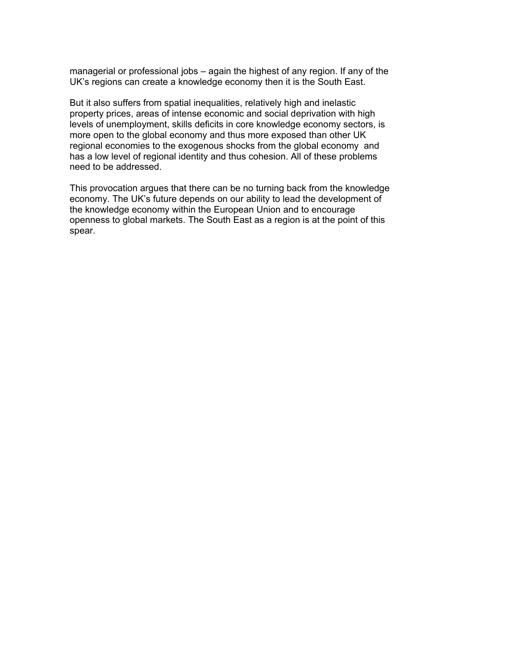managerial or professional jobs – again the highest of any region. If any of the UK's regions can create a knowledge economy then it is the South East.

But it also suffers from spatial inequalities, relatively high and inelastic property prices, areas of intense economic and social deprivation with high levels of unemployment, skills deficits in core knowledge economy sectors, is more open to the global economy and thus more exposed than other UK regional economies to the exogenous shocks from the global economy and has a low level of regional identity and thus cohesion. All of these problems need to be addressed.

This provocation argues that there can be no turning back from the knowledge economy. The UK's future depends on our ability to lead the development of the knowledge economy within the European Union and to encourage openness to global markets. The South East as a region is at the point of this spear.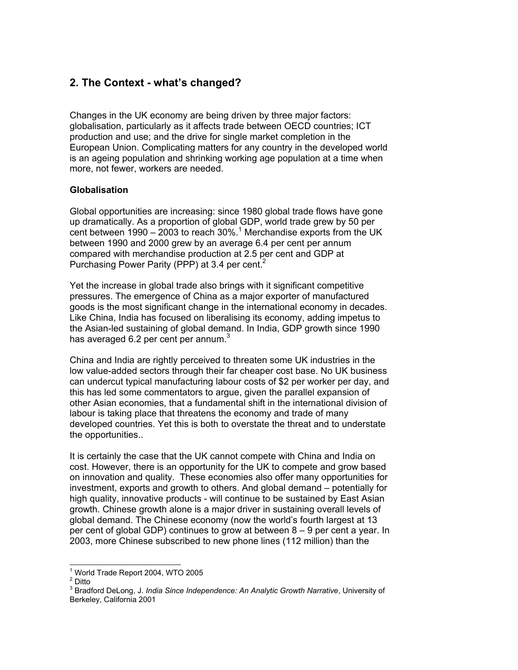# **2. The Context - what's changed?**

Changes in the UK economy are being driven by three major factors: globalisation, particularly as it affects trade between OECD countries; ICT production and use; and the drive for single market completion in the European Union. Complicating matters for any country in the developed world is an ageing population and shrinking working age population at a time when more, not fewer, workers are needed.

## **Globalisation**

Global opportunities are increasing: since 1980 global trade flows have gone up dramatically. As a proportion of global GDP, world trade grew by 50 per cent between  $1990 - 2003$  to reach  $30\%$ <sup>1</sup> Merchandise exports from the UK between 1990 and 2000 grew by an average 6.4 per cent per annum compared with merchandise production at 2.5 per cent and GDP at Purchasing Power Parity (PPP) at 3.4 per cent. $2$ 

Yet the increase in global trade also brings with it significant competitive pressures. The emergence of China as a major exporter of manufactured goods is the most significant change in the international economy in decades. Like China, India has focused on liberalising its economy, adding impetus to the Asian-led sustaining of global demand. In India, GDP growth since 1990 has averaged 6.2 per cent per annum. $3$ 

China and India are rightly perceived to threaten some UK industries in the low value-added sectors through their far cheaper cost base. No UK business can undercut typical manufacturing labour costs of \$2 per worker per day, and this has led some commentators to argue, given the parallel expansion of other Asian economies, that a fundamental shift in the international division of labour is taking place that threatens the economy and trade of many developed countries. Yet this is both to overstate the threat and to understate the opportunities..

It is certainly the case that the UK cannot compete with China and India on cost. However, there is an opportunity for the UK to compete and grow based on innovation and quality. These economies also offer many opportunities for investment, exports and growth to others. And global demand – potentially for high quality, innovative products - will continue to be sustained by East Asian growth. Chinese growth alone is a major driver in sustaining overall levels of global demand. The Chinese economy (now the world's fourth largest at 13 per cent of global GDP) continues to grow at between 8 – 9 per cent a year. In 2003, more Chinese subscribed to new phone lines (112 million) than the

 1 World Trade Report 2004, WTO 2005

<sup>&</sup>lt;sup>2</sup> Ditto

<sup>3</sup> Bradford DeLong, J. *India Since Independence: An Analytic Growth Narrative*, University of Berkeley, California 2001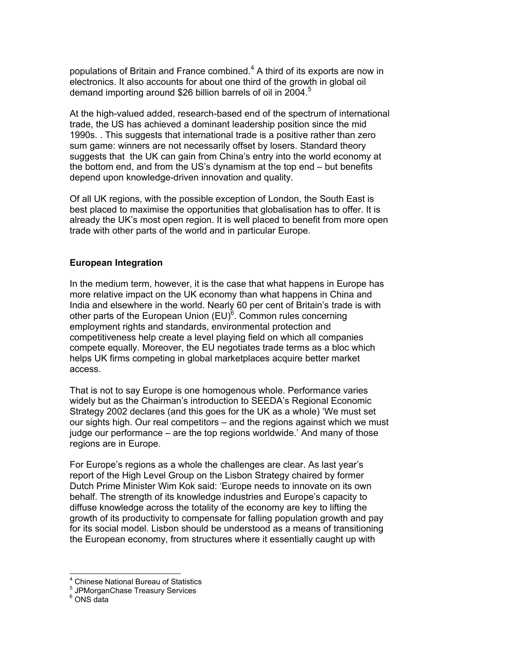populations of Britain and France combined.<sup>4</sup> A third of its exports are now in electronics. It also accounts for about one third of the growth in global oil demand importing around \$26 billion barrels of oil in 2004.<sup>5</sup>

At the high-valued added, research-based end of the spectrum of international trade, the US has achieved a dominant leadership position since the mid 1990s. . This suggests that international trade is a positive rather than zero sum game: winners are not necessarily offset by losers. Standard theory suggests that the UK can gain from China's entry into the world economy at the bottom end, and from the US's dynamism at the top end – but benefits depend upon knowledge-driven innovation and quality.

Of all UK regions, with the possible exception of London, the South East is best placed to maximise the opportunities that globalisation has to offer. It is already the UK's most open region. It is well placed to benefit from more open trade with other parts of the world and in particular Europe.

### **European Integration**

In the medium term, however, it is the case that what happens in Europe has more relative impact on the UK economy than what happens in China and India and elsewhere in the world. Nearly 60 per cent of Britain's trade is with other parts of the European Union  $(EU)^6$ . Common rules concerning employment rights and standards, environmental protection and competitiveness help create a level playing field on which all companies compete equally. Moreover, the EU negotiates trade terms as a bloc which helps UK firms competing in global marketplaces acquire better market access.

That is not to say Europe is one homogenous whole. Performance varies widely but as the Chairman's introduction to SEEDA's Regional Economic Strategy 2002 declares (and this goes for the UK as a whole) 'We must set our sights high. Our real competitors – and the regions against which we must judge our performance – are the top regions worldwide.' And many of those regions are in Europe.

For Europe's regions as a whole the challenges are clear. As last year's report of the High Level Group on the Lisbon Strategy chaired by former Dutch Prime Minister Wim Kok said: 'Europe needs to innovate on its own behalf. The strength of its knowledge industries and Europe's capacity to diffuse knowledge across the totality of the economy are key to lifting the growth of its productivity to compensate for falling population growth and pay for its social model. Lisbon should be understood as a means of transitioning the European economy, from structures where it essentially caught up with

 4 Chinese National Bureau of Statistics

<sup>5</sup> JPMorganChase Treasury Services

<sup>6</sup> ONS data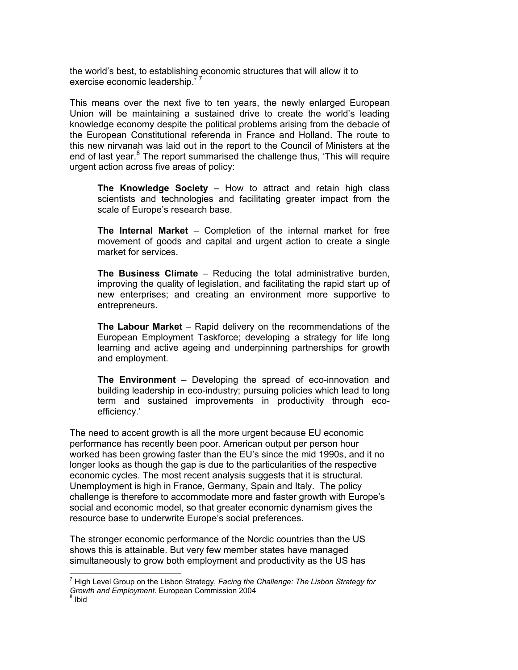the world's best, to establishing economic structures that will allow it to exercise economic leadership.' 7

This means over the next five to ten years, the newly enlarged European Union will be maintaining a sustained drive to create the world's leading knowledge economy despite the political problems arising from the debacle of the European Constitutional referenda in France and Holland. The route to this new nirvanah was laid out in the report to the Council of Ministers at the end of last year.<sup>8</sup> The report summarised the challenge thus, 'This will require urgent action across five areas of policy:

**The Knowledge Society** – How to attract and retain high class scientists and technologies and facilitating greater impact from the scale of Europe's research base.

**The Internal Market** – Completion of the internal market for free movement of goods and capital and urgent action to create a single market for services.

**The Business Climate** – Reducing the total administrative burden, improving the quality of legislation, and facilitating the rapid start up of new enterprises; and creating an environment more supportive to entrepreneurs.

**The Labour Market** – Rapid delivery on the recommendations of the European Employment Taskforce; developing a strategy for life long learning and active ageing and underpinning partnerships for growth and employment.

**The Environment** – Developing the spread of eco-innovation and building leadership in eco-industry; pursuing policies which lead to long term and sustained improvements in productivity through ecoefficiency.'

The need to accent growth is all the more urgent because EU economic performance has recently been poor. American output per person hour worked has been growing faster than the EU's since the mid 1990s, and it no longer looks as though the gap is due to the particularities of the respective economic cycles. The most recent analysis suggests that it is structural. Unemployment is high in France, Germany, Spain and Italy. The policy challenge is therefore to accommodate more and faster growth with Europe's social and economic model, so that greater economic dynamism gives the resource base to underwrite Europe's social preferences.

The stronger economic performance of the Nordic countries than the US shows this is attainable. But very few member states have managed simultaneously to grow both employment and productivity as the US has

 7 High Level Group on the Lisbon Strategy, *Facing the Challenge: The Lisbon Strategy for Growth and Employment*. European Commission 2004 8

 $\delta$ lbid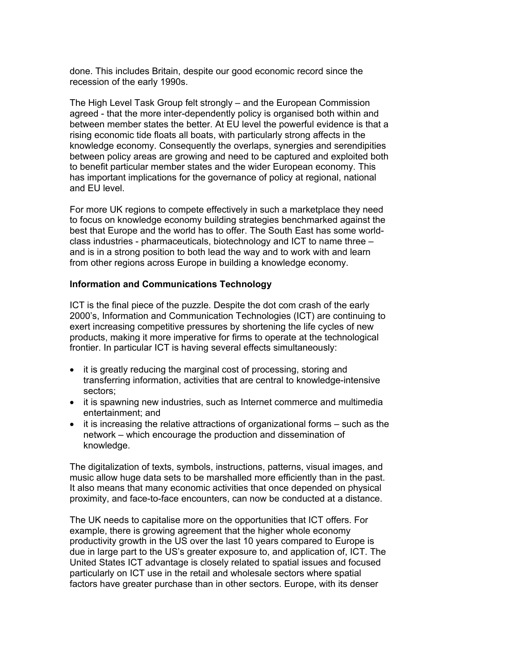done. This includes Britain, despite our good economic record since the recession of the early 1990s.

The High Level Task Group felt strongly – and the European Commission agreed - that the more inter-dependently policy is organised both within and between member states the better. At EU level the powerful evidence is that a rising economic tide floats all boats, with particularly strong affects in the knowledge economy. Consequently the overlaps, synergies and serendipities between policy areas are growing and need to be captured and exploited both to benefit particular member states and the wider European economy. This has important implications for the governance of policy at regional, national and EU level.

For more UK regions to compete effectively in such a marketplace they need to focus on knowledge economy building strategies benchmarked against the best that Europe and the world has to offer. The South East has some worldclass industries - pharmaceuticals, biotechnology and ICT to name three – and is in a strong position to both lead the way and to work with and learn from other regions across Europe in building a knowledge economy.

#### **Information and Communications Technology**

ICT is the final piece of the puzzle. Despite the dot com crash of the early 2000's, Information and Communication Technologies (ICT) are continuing to exert increasing competitive pressures by shortening the life cycles of new products, making it more imperative for firms to operate at the technological frontier. In particular ICT is having several effects simultaneously:

- it is greatly reducing the marginal cost of processing, storing and transferring information, activities that are central to knowledge-intensive sectors;
- it is spawning new industries, such as Internet commerce and multimedia entertainment; and
- it is increasing the relative attractions of organizational forms such as the network – which encourage the production and dissemination of knowledge.

The digitalization of texts, symbols, instructions, patterns, visual images, and music allow huge data sets to be marshalled more efficiently than in the past. It also means that many economic activities that once depended on physical proximity, and face-to-face encounters, can now be conducted at a distance.

The UK needs to capitalise more on the opportunities that ICT offers. For example, there is growing agreement that the higher whole economy productivity growth in the US over the last 10 years compared to Europe is due in large part to the US's greater exposure to, and application of, ICT. The United States ICT advantage is closely related to spatial issues and focused particularly on ICT use in the retail and wholesale sectors where spatial factors have greater purchase than in other sectors. Europe, with its denser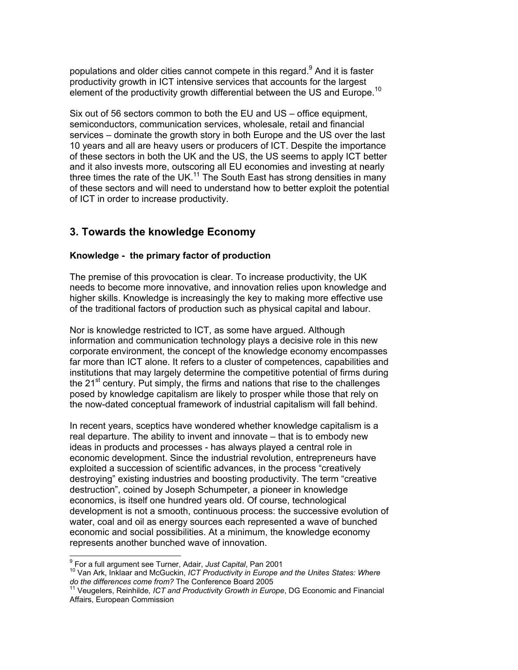populations and older cities cannot compete in this regard.<sup>9</sup> And it is faster productivity growth in ICT intensive services that accounts for the largest element of the productivity growth differential between the US and Europe.<sup>10</sup>

Six out of 56 sectors common to both the EU and US – office equipment, semiconductors, communication services, wholesale, retail and financial services – dominate the growth story in both Europe and the US over the last 10 years and all are heavy users or producers of ICT. Despite the importance of these sectors in both the UK and the US, the US seems to apply ICT better and it also invests more, outscoring all EU economies and investing at nearly three times the rate of the UK.<sup>11</sup> The South East has strong densities in many of these sectors and will need to understand how to better exploit the potential of ICT in order to increase productivity.

# **3. Towards the knowledge Economy**

### **Knowledge - the primary factor of production**

The premise of this provocation is clear. To increase productivity, the UK needs to become more innovative, and innovation relies upon knowledge and higher skills. Knowledge is increasingly the key to making more effective use of the traditional factors of production such as physical capital and labour.

Nor is knowledge restricted to ICT, as some have argued. Although information and communication technology plays a decisive role in this new corporate environment, the concept of the knowledge economy encompasses far more than ICT alone. It refers to a cluster of competences, capabilities and institutions that may largely determine the competitive potential of firms during the 21<sup>st</sup> century. Put simply, the firms and nations that rise to the challenges posed by knowledge capitalism are likely to prosper while those that rely on the now-dated conceptual framework of industrial capitalism will fall behind.

In recent years, sceptics have wondered whether knowledge capitalism is a real departure. The ability to invent and innovate – that is to embody new ideas in products and processes - has always played a central role in economic development. Since the industrial revolution, entrepreneurs have exploited a succession of scientific advances, in the process "creatively destroying" existing industries and boosting productivity. The term "creative destruction", coined by Joseph Schumpeter, a pioneer in knowledge economics, is itself one hundred years old. Of course, technological development is not a smooth, continuous process: the successive evolution of water, coal and oil as energy sources each represented a wave of bunched economic and social possibilities. At a minimum, the knowledge economy represents another bunched wave of innovation.

<sup>-&</sup>lt;br>9

<sup>&</sup>lt;sup>10</sup> Van Ark, Inklaar and McGuckin, *ICT Productivity in Europe and the Unites States: Where do the differences come from? The Conference Board 2005* 

<sup>&</sup>lt;sup>11</sup> Veugelers, Reinhilde, *ICT and Productivity Growth in Europe*, DG Economic and Financial Affairs, European Commission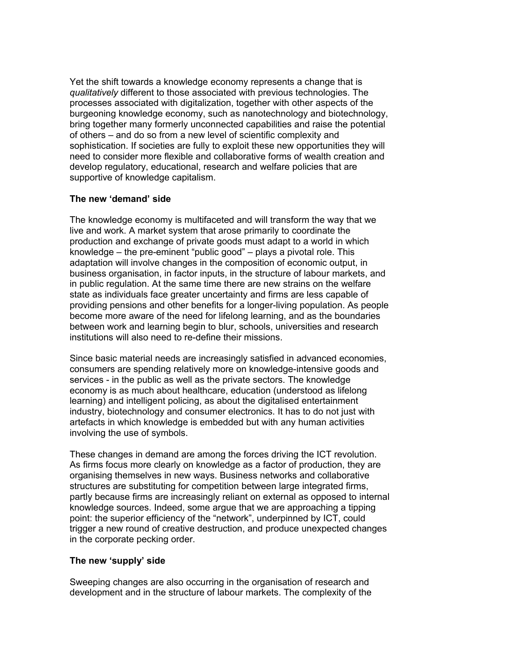Yet the shift towards a knowledge economy represents a change that is *qualitatively* different to those associated with previous technologies. The processes associated with digitalization, together with other aspects of the burgeoning knowledge economy, such as nanotechnology and biotechnology, bring together many formerly unconnected capabilities and raise the potential of others – and do so from a new level of scientific complexity and sophistication. If societies are fully to exploit these new opportunities they will need to consider more flexible and collaborative forms of wealth creation and develop regulatory, educational, research and welfare policies that are supportive of knowledge capitalism.

### **The new 'demand' side**

The knowledge economy is multifaceted and will transform the way that we live and work. A market system that arose primarily to coordinate the production and exchange of private goods must adapt to a world in which knowledge – the pre-eminent "public good" – plays a pivotal role. This adaptation will involve changes in the composition of economic output, in business organisation, in factor inputs, in the structure of labour markets, and in public regulation. At the same time there are new strains on the welfare state as individuals face greater uncertainty and firms are less capable of providing pensions and other benefits for a longer-living population. As people become more aware of the need for lifelong learning, and as the boundaries between work and learning begin to blur, schools, universities and research institutions will also need to re-define their missions.

Since basic material needs are increasingly satisfied in advanced economies, consumers are spending relatively more on knowledge-intensive goods and services - in the public as well as the private sectors. The knowledge economy is as much about healthcare, education (understood as lifelong learning) and intelligent policing, as about the digitalised entertainment industry, biotechnology and consumer electronics. It has to do not just with artefacts in which knowledge is embedded but with any human activities involving the use of symbols.

These changes in demand are among the forces driving the ICT revolution. As firms focus more clearly on knowledge as a factor of production, they are organising themselves in new ways. Business networks and collaborative structures are substituting for competition between large integrated firms, partly because firms are increasingly reliant on external as opposed to internal knowledge sources. Indeed, some argue that we are approaching a tipping point: the superior efficiency of the "network", underpinned by ICT, could trigger a new round of creative destruction, and produce unexpected changes in the corporate pecking order.

#### **The new 'supply' side**

Sweeping changes are also occurring in the organisation of research and development and in the structure of labour markets. The complexity of the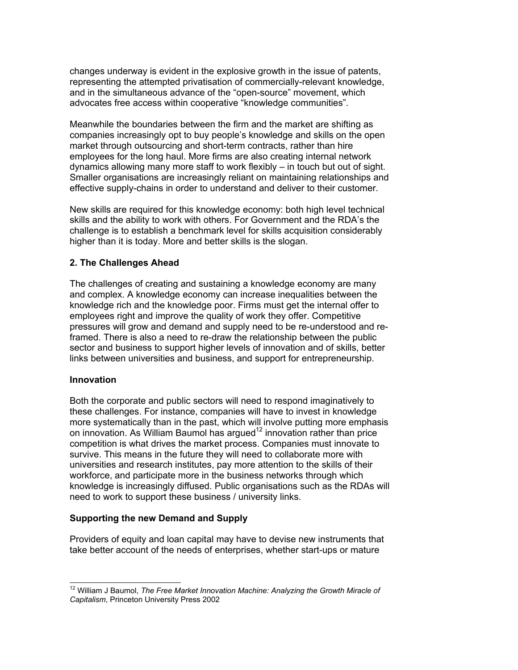changes underway is evident in the explosive growth in the issue of patents, representing the attempted privatisation of commercially-relevant knowledge, and in the simultaneous advance of the "open-source" movement, which advocates free access within cooperative "knowledge communities".

Meanwhile the boundaries between the firm and the market are shifting as companies increasingly opt to buy people's knowledge and skills on the open market through outsourcing and short-term contracts, rather than hire employees for the long haul. More firms are also creating internal network dynamics allowing many more staff to work flexibly – in touch but out of sight. Smaller organisations are increasingly reliant on maintaining relationships and effective supply-chains in order to understand and deliver to their customer.

New skills are required for this knowledge economy: both high level technical skills and the ability to work with others. For Government and the RDA's the challenge is to establish a benchmark level for skills acquisition considerably higher than it is today. More and better skills is the slogan.

## **2. The Challenges Ahead**

The challenges of creating and sustaining a knowledge economy are many and complex. A knowledge economy can increase inequalities between the knowledge rich and the knowledge poor. Firms must get the internal offer to employees right and improve the quality of work they offer. Competitive pressures will grow and demand and supply need to be re-understood and reframed. There is also a need to re-draw the relationship between the public sector and business to support higher levels of innovation and of skills, better links between universities and business, and support for entrepreneurship.

## **Innovation**

Both the corporate and public sectors will need to respond imaginatively to these challenges. For instance, companies will have to invest in knowledge more systematically than in the past, which will involve putting more emphasis on innovation. As William Baumol has argued<sup>12</sup> innovation rather than price competition is what drives the market process. Companies must innovate to survive. This means in the future they will need to collaborate more with universities and research institutes, pay more attention to the skills of their workforce, and participate more in the business networks through which knowledge is increasingly diffused. Public organisations such as the RDAs will need to work to support these business / university links.

## **Supporting the new Demand and Supply**

Providers of equity and loan capital may have to devise new instruments that take better account of the needs of enterprises, whether start-ups or mature

l <sup>12</sup> William J Baumol, *The Free Market Innovation Machine: Analyzing the Growth Miracle of Capitalism*, Princeton University Press 2002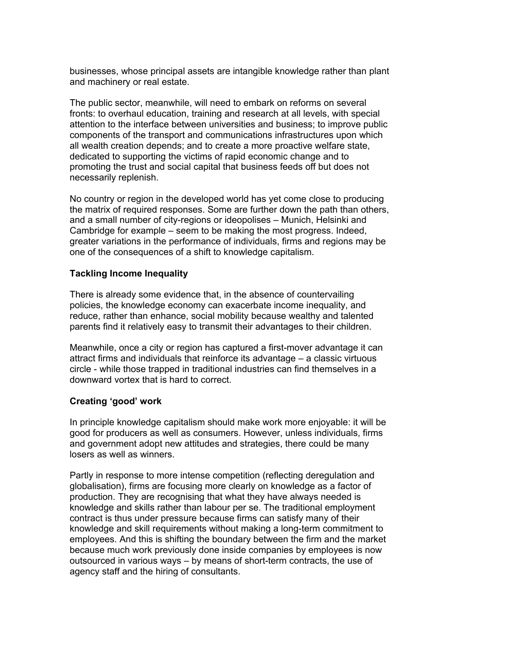businesses, whose principal assets are intangible knowledge rather than plant and machinery or real estate.

The public sector, meanwhile, will need to embark on reforms on several fronts: to overhaul education, training and research at all levels, with special attention to the interface between universities and business; to improve public components of the transport and communications infrastructures upon which all wealth creation depends; and to create a more proactive welfare state, dedicated to supporting the victims of rapid economic change and to promoting the trust and social capital that business feeds off but does not necessarily replenish.

No country or region in the developed world has yet come close to producing the matrix of required responses. Some are further down the path than others, and a small number of city-regions or ideopolises – Munich, Helsinki and Cambridge for example – seem to be making the most progress. Indeed, greater variations in the performance of individuals, firms and regions may be one of the consequences of a shift to knowledge capitalism.

#### **Tackling Income Inequality**

There is already some evidence that, in the absence of countervailing policies, the knowledge economy can exacerbate income inequality, and reduce, rather than enhance, social mobility because wealthy and talented parents find it relatively easy to transmit their advantages to their children.

Meanwhile, once a city or region has captured a first-mover advantage it can attract firms and individuals that reinforce its advantage – a classic virtuous circle - while those trapped in traditional industries can find themselves in a downward vortex that is hard to correct.

#### **Creating 'good' work**

In principle knowledge capitalism should make work more enjoyable: it will be good for producers as well as consumers. However, unless individuals, firms and government adopt new attitudes and strategies, there could be many losers as well as winners.

Partly in response to more intense competition (reflecting deregulation and globalisation), firms are focusing more clearly on knowledge as a factor of production. They are recognising that what they have always needed is knowledge and skills rather than labour per se. The traditional employment contract is thus under pressure because firms can satisfy many of their knowledge and skill requirements without making a long-term commitment to employees. And this is shifting the boundary between the firm and the market because much work previously done inside companies by employees is now outsourced in various ways – by means of short-term contracts, the use of agency staff and the hiring of consultants.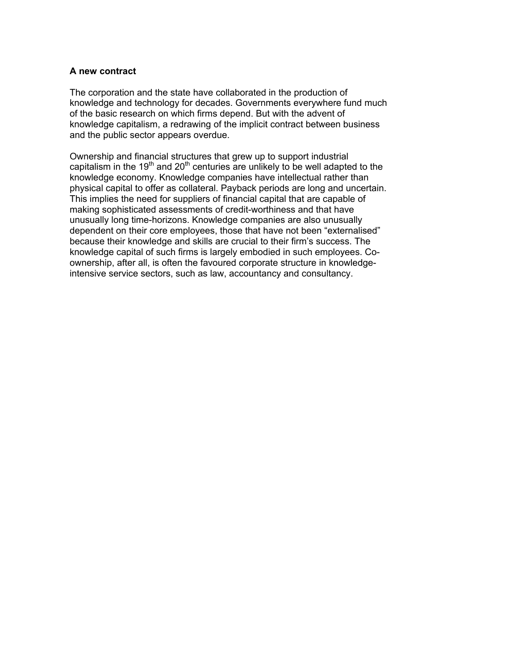#### **A new contract**

The corporation and the state have collaborated in the production of knowledge and technology for decades. Governments everywhere fund much of the basic research on which firms depend. But with the advent of knowledge capitalism, a redrawing of the implicit contract between business and the public sector appears overdue.

Ownership and financial structures that grew up to support industrial capitalism in the 19<sup>th</sup> and 20<sup>th</sup> centuries are unlikely to be well adapted to the knowledge economy. Knowledge companies have intellectual rather than physical capital to offer as collateral. Payback periods are long and uncertain. This implies the need for suppliers of financial capital that are capable of making sophisticated assessments of credit-worthiness and that have unusually long time-horizons. Knowledge companies are also unusually dependent on their core employees, those that have not been "externalised" because their knowledge and skills are crucial to their firm's success. The knowledge capital of such firms is largely embodied in such employees. Coownership, after all, is often the favoured corporate structure in knowledgeintensive service sectors, such as law, accountancy and consultancy.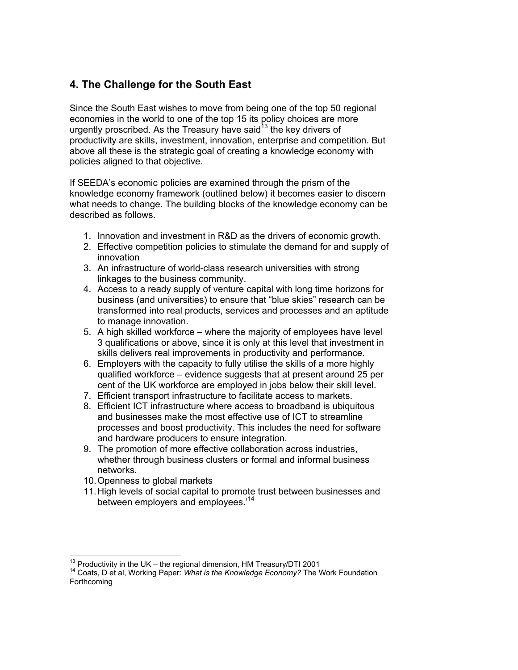# **4. The Challenge for the South East**

Since the South East wishes to move from being one of the top 50 regional economies in the world to one of the top 15 its policy choices are more urgently proscribed. As the Treasury have said  $13$  the key drivers of productivity are skills, investment, innovation, enterprise and competition. But above all these is the strategic goal of creating a knowledge economy with policies aligned to that objective.

If SEEDA's economic policies are examined through the prism of the knowledge economy framework (outlined below) it becomes easier to discern what needs to change. The building blocks of the knowledge economy can be described as follows.

- 1. Innovation and investment in R&D as the drivers of economic growth.
- 2. Effective competition policies to stimulate the demand for and supply of innovation
- 3. An infrastructure of world-class research universities with strong linkages to the business community.
- 4. Access to a ready supply of venture capital with long time horizons for business (and universities) to ensure that "blue skies" research can be transformed into real products, services and processes and an aptitude to manage innovation.
- 5. A high skilled workforce where the majority of employees have level 3 qualifications or above, since it is only at this level that investment in skills delivers real improvements in productivity and performance.
- 6. Employers with the capacity to fully utilise the skills of a more highly qualified workforce – evidence suggests that at present around 25 per cent of the UK workforce are employed in jobs below their skill level.
- 7. Efficient transport infrastructure to facilitate access to markets.
- 8. Efficient ICT infrastructure where access to broadband is ubiquitous and businesses make the most effective use of ICT to streamline processes and boost productivity. This includes the need for software and hardware producers to ensure integration.
- 9. The promotion of more effective collaboration across industries, whether through business clusters or formal and informal business networks.
- 10. Openness to global markets
- 11. High levels of social capital to promote trust between businesses and between employers and employees.<sup>14</sup>

<sup>&</sup>lt;sup>13</sup> Productivity in the UK - the regional dimension, HM Treasury/DTI 2001

<sup>&</sup>lt;sup>14</sup> Coats. D et al. Working Paper: *What is the Knowledge Economy?* The Work Foundation Forthcoming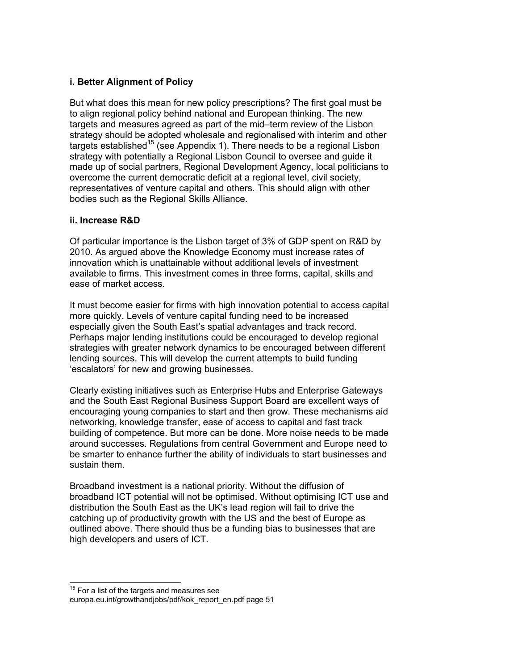## **i. Better Alignment of Policy**

But what does this mean for new policy prescriptions? The first goal must be to align regional policy behind national and European thinking. The new targets and measures agreed as part of the mid–term review of the Lisbon strategy should be adopted wholesale and regionalised with interim and other targets established<sup>15</sup> (see Appendix 1). There needs to be a regional Lisbon strategy with potentially a Regional Lisbon Council to oversee and guide it made up of social partners, Regional Development Agency, local politicians to overcome the current democratic deficit at a regional level, civil society, representatives of venture capital and others. This should align with other bodies such as the Regional Skills Alliance.

## **ii. Increase R&D**

Of particular importance is the Lisbon target of 3% of GDP spent on R&D by 2010. As argued above the Knowledge Economy must increase rates of innovation which is unattainable without additional levels of investment available to firms. This investment comes in three forms, capital, skills and ease of market access.

It must become easier for firms with high innovation potential to access capital more quickly. Levels of venture capital funding need to be increased especially given the South East's spatial advantages and track record. Perhaps major lending institutions could be encouraged to develop regional strategies with greater network dynamics to be encouraged between different lending sources. This will develop the current attempts to build funding 'escalators' for new and growing businesses.

Clearly existing initiatives such as Enterprise Hubs and Enterprise Gateways and the South East Regional Business Support Board are excellent ways of encouraging young companies to start and then grow. These mechanisms aid networking, knowledge transfer, ease of access to capital and fast track building of competence. But more can be done. More noise needs to be made around successes. Regulations from central Government and Europe need to be smarter to enhance further the ability of individuals to start businesses and sustain them.

Broadband investment is a national priority. Without the diffusion of broadband ICT potential will not be optimised. Without optimising ICT use and distribution the South East as the UK's lead region will fail to drive the catching up of productivity growth with the US and the best of Europe as outlined above. There should thus be a funding bias to businesses that are high developers and users of ICT.

l

 $15$  For a list of the targets and measures see europa.eu.int/growthandjobs/pdf/kok\_report\_en.pdf page 51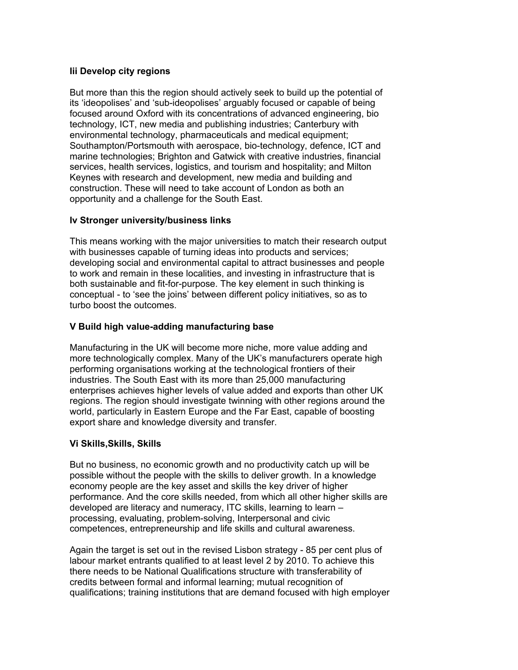### **Iii Develop city regions**

But more than this the region should actively seek to build up the potential of its 'ideopolises' and 'sub-ideopolises' arguably focused or capable of being focused around Oxford with its concentrations of advanced engineering, bio technology, ICT, new media and publishing industries; Canterbury with environmental technology, pharmaceuticals and medical equipment; Southampton/Portsmouth with aerospace, bio-technology, defence, ICT and marine technologies; Brighton and Gatwick with creative industries, financial services, health services, logistics, and tourism and hospitality; and Milton Keynes with research and development, new media and building and construction. These will need to take account of London as both an opportunity and a challenge for the South East.

### **Iv Stronger university/business links**

This means working with the major universities to match their research output with businesses capable of turning ideas into products and services; developing social and environmental capital to attract businesses and people to work and remain in these localities, and investing in infrastructure that is both sustainable and fit-for-purpose. The key element in such thinking is conceptual - to 'see the joins' between different policy initiatives, so as to turbo boost the outcomes.

### **V Build high value-adding manufacturing base**

Manufacturing in the UK will become more niche, more value adding and more technologically complex. Many of the UK's manufacturers operate high performing organisations working at the technological frontiers of their industries. The South East with its more than 25,000 manufacturing enterprises achieves higher levels of value added and exports than other UK regions. The region should investigate twinning with other regions around the world, particularly in Eastern Europe and the Far East, capable of boosting export share and knowledge diversity and transfer.

## **Vi Skills,Skills, Skills**

But no business, no economic growth and no productivity catch up will be possible without the people with the skills to deliver growth. In a knowledge economy people are the key asset and skills the key driver of higher performance. And the core skills needed, from which all other higher skills are developed are literacy and numeracy, ITC skills, learning to learn – processing, evaluating, problem-solving, Interpersonal and civic competences, entrepreneurship and life skills and cultural awareness.

Again the target is set out in the revised Lisbon strategy - 85 per cent plus of labour market entrants qualified to at least level 2 by 2010. To achieve this there needs to be National Qualifications structure with transferability of credits between formal and informal learning; mutual recognition of qualifications; training institutions that are demand focused with high employer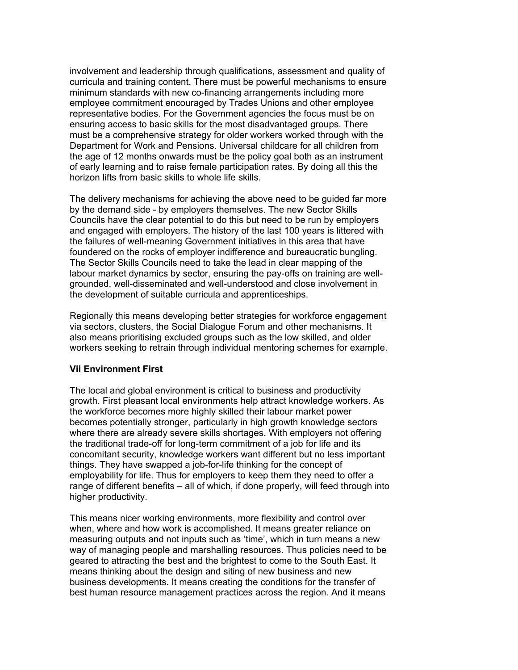involvement and leadership through qualifications, assessment and quality of curricula and training content. There must be powerful mechanisms to ensure minimum standards with new co-financing arrangements including more employee commitment encouraged by Trades Unions and other employee representative bodies. For the Government agencies the focus must be on ensuring access to basic skills for the most disadvantaged groups. There must be a comprehensive strategy for older workers worked through with the Department for Work and Pensions. Universal childcare for all children from the age of 12 months onwards must be the policy goal both as an instrument of early learning and to raise female participation rates. By doing all this the horizon lifts from basic skills to whole life skills.

The delivery mechanisms for achieving the above need to be guided far more by the demand side - by employers themselves. The new Sector Skills Councils have the clear potential to do this but need to be run by employers and engaged with employers. The history of the last 100 years is littered with the failures of well-meaning Government initiatives in this area that have foundered on the rocks of employer indifference and bureaucratic bungling. The Sector Skills Councils need to take the lead in clear mapping of the labour market dynamics by sector, ensuring the pay-offs on training are wellgrounded, well-disseminated and well-understood and close involvement in the development of suitable curricula and apprenticeships.

Regionally this means developing better strategies for workforce engagement via sectors, clusters, the Social Dialogue Forum and other mechanisms. It also means prioritising excluded groups such as the low skilled, and older workers seeking to retrain through individual mentoring schemes for example.

#### **Vii Environment First**

The local and global environment is critical to business and productivity growth. First pleasant local environments help attract knowledge workers. As the workforce becomes more highly skilled their labour market power becomes potentially stronger, particularly in high growth knowledge sectors where there are already severe skills shortages. With employers not offering the traditional trade-off for long-term commitment of a job for life and its concomitant security, knowledge workers want different but no less important things. They have swapped a job-for-life thinking for the concept of employability for life. Thus for employers to keep them they need to offer a range of different benefits – all of which, if done properly, will feed through into higher productivity.

This means nicer working environments, more flexibility and control over when, where and how work is accomplished. It means greater reliance on measuring outputs and not inputs such as 'time', which in turn means a new way of managing people and marshalling resources. Thus policies need to be geared to attracting the best and the brightest to come to the South East. It means thinking about the design and siting of new business and new business developments. It means creating the conditions for the transfer of best human resource management practices across the region. And it means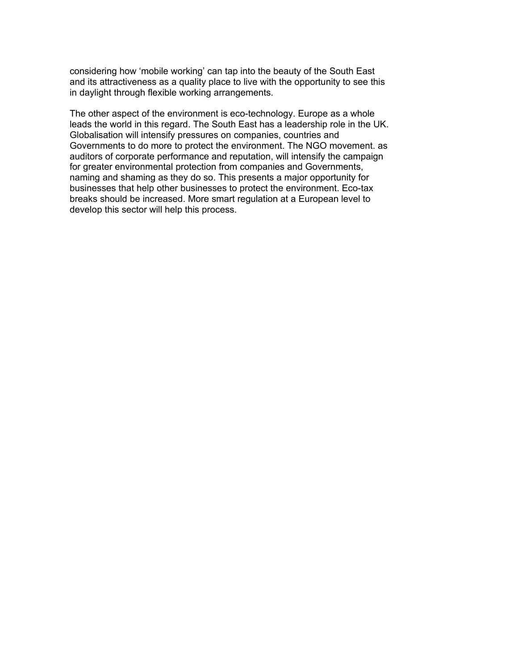considering how 'mobile working' can tap into the beauty of the South East and its attractiveness as a quality place to live with the opportunity to see this in daylight through flexible working arrangements.

The other aspect of the environment is eco-technology. Europe as a whole leads the world in this regard. The South East has a leadership role in the UK. Globalisation will intensify pressures on companies, countries and Governments to do more to protect the environment. The NGO movement. as auditors of corporate performance and reputation, will intensify the campaign for greater environmental protection from companies and Governments, naming and shaming as they do so. This presents a major opportunity for businesses that help other businesses to protect the environment. Eco-tax breaks should be increased. More smart regulation at a European level to develop this sector will help this process.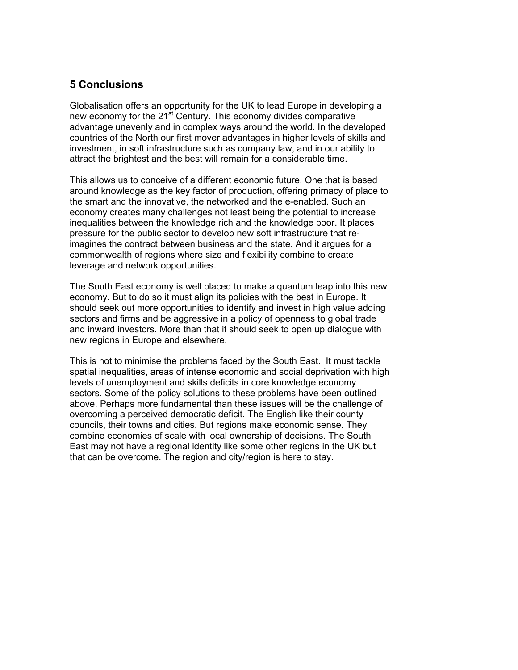# **5 Conclusions**

Globalisation offers an opportunity for the UK to lead Europe in developing a new economy for the 21<sup>st</sup> Century. This economy divides comparative advantage unevenly and in complex ways around the world. In the developed countries of the North our first mover advantages in higher levels of skills and investment, in soft infrastructure such as company law, and in our ability to attract the brightest and the best will remain for a considerable time.

This allows us to conceive of a different economic future. One that is based around knowledge as the key factor of production, offering primacy of place to the smart and the innovative, the networked and the e-enabled. Such an economy creates many challenges not least being the potential to increase inequalities between the knowledge rich and the knowledge poor. It places pressure for the public sector to develop new soft infrastructure that reimagines the contract between business and the state. And it argues for a commonwealth of regions where size and flexibility combine to create leverage and network opportunities.

The South East economy is well placed to make a quantum leap into this new economy. But to do so it must align its policies with the best in Europe. It should seek out more opportunities to identify and invest in high value adding sectors and firms and be aggressive in a policy of openness to global trade and inward investors. More than that it should seek to open up dialogue with new regions in Europe and elsewhere.

This is not to minimise the problems faced by the South East. It must tackle spatial inequalities, areas of intense economic and social deprivation with high levels of unemployment and skills deficits in core knowledge economy sectors. Some of the policy solutions to these problems have been outlined above. Perhaps more fundamental than these issues will be the challenge of overcoming a perceived democratic deficit. The English like their county councils, their towns and cities. But regions make economic sense. They combine economies of scale with local ownership of decisions. The South East may not have a regional identity like some other regions in the UK but that can be overcome. The region and city/region is here to stay.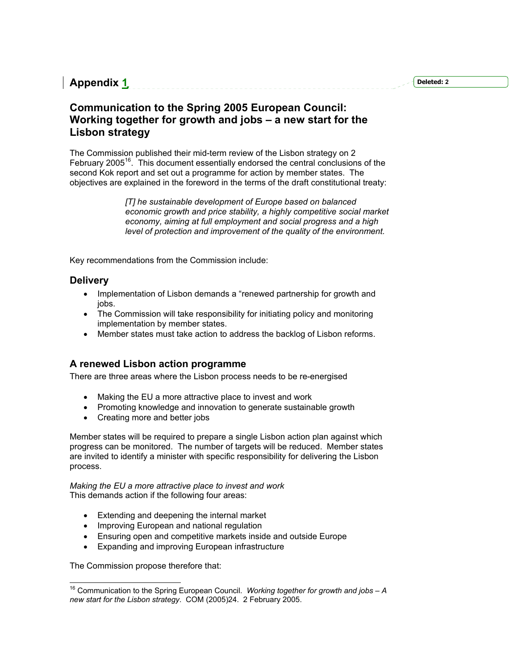# **Appendix 1**

# **Communication to the Spring 2005 European Council: Working together for growth and jobs – a new start for the Lisbon strategy**

The Commission published their mid-term review of the Lisbon strategy on 2 February 2005<sup>16</sup>. This document essentially endorsed the central conclusions of the second Kok report and set out a programme for action by member states. The objectives are explained in the foreword in the terms of the draft constitutional treaty:

> *[T] he sustainable development of Europe based on balanced economic growth and price stability, a highly competitive social market economy, aiming at full employment and social progress and a high level of protection and improvement of the quality of the environment.*

Key recommendations from the Commission include:

### **Delivery**

- Implementation of Lisbon demands a "renewed partnership for growth and jobs.
- The Commission will take responsibility for initiating policy and monitoring implementation by member states.
- Member states must take action to address the backlog of Lisbon reforms.

## **A renewed Lisbon action programme**

There are three areas where the Lisbon process needs to be re-energised

- Making the EU a more attractive place to invest and work
- Promoting knowledge and innovation to generate sustainable growth
- Creating more and better jobs

Member states will be required to prepare a single Lisbon action plan against which progress can be monitored. The number of targets will be reduced. Member states are invited to identify a minister with specific responsibility for delivering the Lisbon process.

*Making the EU a more attractive place to invest and work*  This demands action if the following four areas:

- Extending and deepening the internal market
- Improving European and national regulation
- Ensuring open and competitive markets inside and outside Europe
- Expanding and improving European infrastructure

The Commission propose therefore that:

l 16 Communication to the Spring European Council. *Working together for growth and jobs – A new start for the Lisbon strategy*. COM (2005)24. 2 February 2005.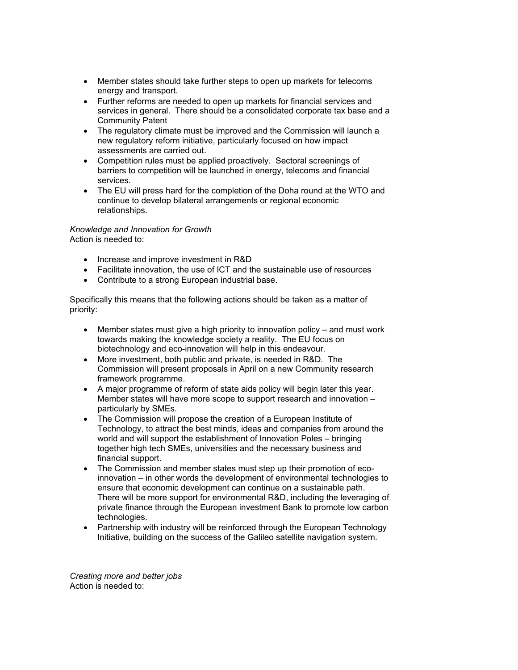- Member states should take further steps to open up markets for telecoms energy and transport.
- Further reforms are needed to open up markets for financial services and services in general. There should be a consolidated corporate tax base and a Community Patent
- The regulatory climate must be improved and the Commission will launch a new regulatory reform initiative, particularly focused on how impact assessments are carried out.
- Competition rules must be applied proactively. Sectoral screenings of barriers to competition will be launched in energy, telecoms and financial services.
- The EU will press hard for the completion of the Doha round at the WTO and continue to develop bilateral arrangements or regional economic relationships.

#### *Knowledge and Innovation for Growth*  Action is needed to:

- Increase and improve investment in R&D
- Facilitate innovation, the use of ICT and the sustainable use of resources
- Contribute to a strong European industrial base.

Specifically this means that the following actions should be taken as a matter of priority:

- Member states must give a high priority to innovation policy and must work towards making the knowledge society a reality. The EU focus on biotechnology and eco-innovation will help in this endeavour.
- More investment, both public and private, is needed in R&D. The Commission will present proposals in April on a new Community research framework programme.
- A major programme of reform of state aids policy will begin later this year. Member states will have more scope to support research and innovation – particularly by SMEs.
- The Commission will propose the creation of a European Institute of Technology, to attract the best minds, ideas and companies from around the world and will support the establishment of Innovation Poles – bringing together high tech SMEs, universities and the necessary business and financial support.
- The Commission and member states must step up their promotion of ecoinnovation – in other words the development of environmental technologies to ensure that economic development can continue on a sustainable path. There will be more support for environmental R&D, including the leveraging of private finance through the European investment Bank to promote low carbon technologies.
- Partnership with industry will be reinforced through the European Technology Initiative, building on the success of the Galileo satellite navigation system.

*Creating more and better jobs*  Action is needed to: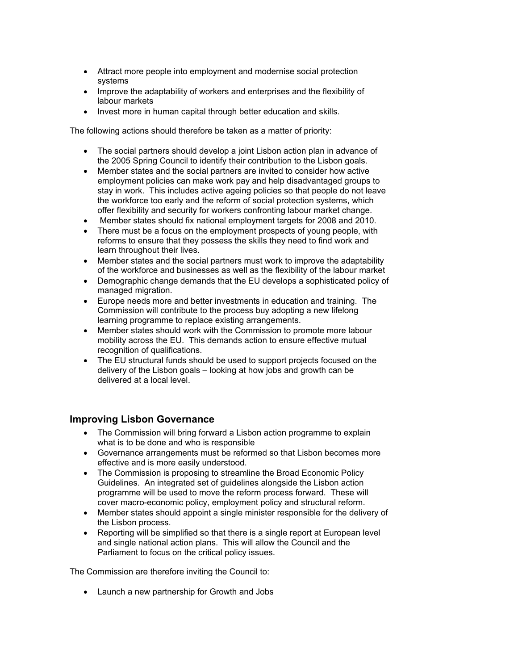- Attract more people into employment and modernise social protection systems
- Improve the adaptability of workers and enterprises and the flexibility of labour markets
- Invest more in human capital through better education and skills.

The following actions should therefore be taken as a matter of priority:

- The social partners should develop a joint Lisbon action plan in advance of the 2005 Spring Council to identify their contribution to the Lisbon goals.
- Member states and the social partners are invited to consider how active employment policies can make work pay and help disadvantaged groups to stay in work. This includes active ageing policies so that people do not leave the workforce too early and the reform of social protection systems, which offer flexibility and security for workers confronting labour market change.
- Member states should fix national employment targets for 2008 and 2010.
- There must be a focus on the employment prospects of young people, with reforms to ensure that they possess the skills they need to find work and learn throughout their lives.
- Member states and the social partners must work to improve the adaptability of the workforce and businesses as well as the flexibility of the labour market
- Demographic change demands that the EU develops a sophisticated policy of managed migration.
- Europe needs more and better investments in education and training. The Commission will contribute to the process buy adopting a new lifelong learning programme to replace existing arrangements.
- Member states should work with the Commission to promote more labour mobility across the EU. This demands action to ensure effective mutual recognition of qualifications.
- The EU structural funds should be used to support projects focused on the delivery of the Lisbon goals – looking at how jobs and growth can be delivered at a local level.

## **Improving Lisbon Governance**

- The Commission will bring forward a Lisbon action programme to explain what is to be done and who is responsible
- Governance arrangements must be reformed so that Lisbon becomes more effective and is more easily understood.
- The Commission is proposing to streamline the Broad Economic Policy Guidelines. An integrated set of guidelines alongside the Lisbon action programme will be used to move the reform process forward. These will cover macro-economic policy, employment policy and structural reform.
- Member states should appoint a single minister responsible for the delivery of the Lisbon process.
- Reporting will be simplified so that there is a single report at European level and single national action plans. This will allow the Council and the Parliament to focus on the critical policy issues.

The Commission are therefore inviting the Council to:

• Launch a new partnership for Growth and Jobs